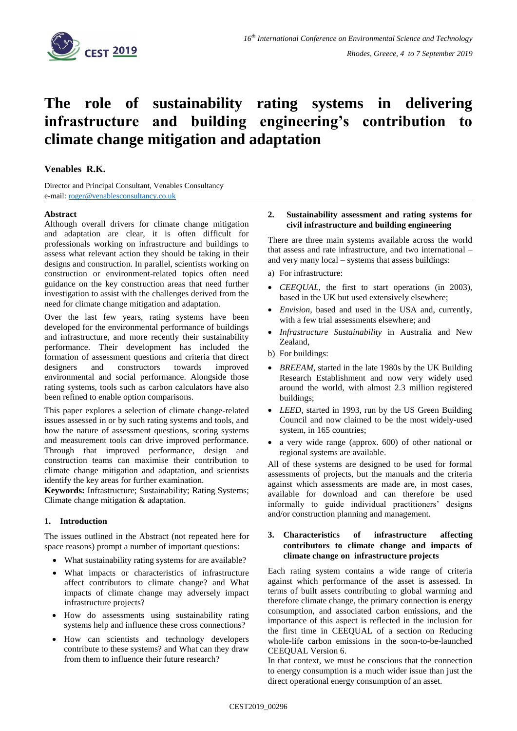

# **The role of sustainability rating systems in delivering infrastructure and building engineering's contribution to climate change mitigation and adaptation**

## **Venables R.K.**

Director and Principal Consultant, Venables Consultancy e-mail: [roger@venablesconsultancy.co.uk](mailto:roger@venablesconsultancy.co.uk)

## **Abstract**

Although overall drivers for climate change mitigation and adaptation are clear, it is often difficult for professionals working on infrastructure and buildings to assess what relevant action they should be taking in their designs and construction. In parallel, scientists working on construction or environment-related topics often need guidance on the key construction areas that need further investigation to assist with the challenges derived from the need for climate change mitigation and adaptation.

Over the last few years, rating systems have been developed for the environmental performance of buildings and infrastructure, and more recently their sustainability performance. Their development has included the formation of assessment questions and criteria that direct designers and constructors towards improved environmental and social performance. Alongside those rating systems, tools such as carbon calculators have also been refined to enable option comparisons.

This paper explores a selection of climate change-related issues assessed in or by such rating systems and tools, and how the nature of assessment questions, scoring systems and measurement tools can drive improved performance. Through that improved performance, design and construction teams can maximise their contribution to climate change mitigation and adaptation, and scientists identify the key areas for further examination.

**Keywords:** Infrastructure; Sustainability; Rating Systems; Climate change mitigation & adaptation.

## **1. Introduction**

The issues outlined in the Abstract (not repeated here for space reasons) prompt a number of important questions:

- What sustainability rating systems for are available?
- What impacts or characteristics of infrastructure affect contributors to climate change? and What impacts of climate change may adversely impact infrastructure projects?
- How do assessments using sustainability rating systems help and influence these cross connections?
- How can scientists and technology developers contribute to these systems? and What can they draw from them to influence their future research?

#### **2. Sustainability assessment and rating systems for civil infrastructure and building engineering**

There are three main systems available across the world that assess and rate infrastructure, and two international – and very many local – systems that assess buildings:

a) For infrastructure:

- *CEEQUAL*, the first to start operations (in 2003), based in the UK but used extensively elsewhere;
- *Envision*, based and used in the USA and, currently, with a few trial assessments elsewhere; and
- *Infrastructure Sustainability* in Australia and New Zealand,
- b) For buildings:
- *BREEAM*, started in the late 1980s by the UK Building Research Establishment and now very widely used around the world, with almost 2.3 million registered buildings;
- *LEED*, started in 1993, run by the US Green Building Council and now claimed to be the most widely-used system, in 165 countries;
- a very wide range (approx. 600) of other national or regional systems are available.

All of these systems are designed to be used for formal assessments of projects, but the manuals and the criteria against which assessments are made are, in most cases, available for download and can therefore be used informally to guide individual practitioners' designs and/or construction planning and management.

## **3. Characteristics of infrastructure affecting contributors to climate change and impacts of climate change on infrastructure projects**

Each rating system contains a wide range of criteria against which performance of the asset is assessed. In terms of built assets contributing to global warming and therefore climate change, the primary connection is energy consumption, and associated carbon emissions, and the importance of this aspect is reflected in the inclusion for the first time in CEEQUAL of a section on Reducing whole-life carbon emissions in the soon-to-be-launched CEEQUAL Version 6.

In that context, we must be conscious that the connection to energy consumption is a much wider issue than just the direct operational energy consumption of an asset.